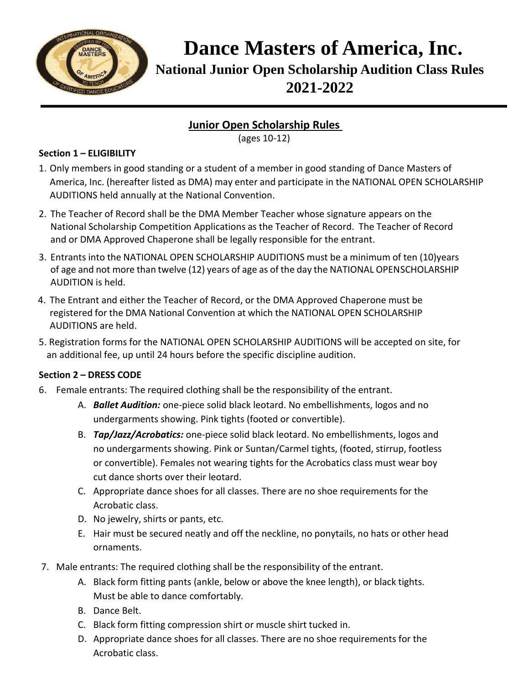

**Dance Masters of America, Inc. National Junior Open Scholarship Audition Class Rules 2021-2022**

# **Junior Open Scholarship Rules**

(ages 10-12)

### **Section 1 – ELIGIBILITY**

- 1. Only members in good standing or a student of a member in good standing of Dance Masters of America, Inc. (hereafter listed as DMA) may enter and participate in the NATIONAL OPEN SCHOLARSHIP AUDITIONS held annually at the National Convention.
- 2. The Teacher of Record shall be the DMA Member Teacher whose signature appears on the National Scholarship Competition Applications as the Teacher of Record. The Teacher of Record and or DMA Approved Chaperone shall be legally responsible for the entrant.
- 3. Entrants into the NATIONAL OPEN SCHOLARSHIP AUDITIONS must be a minimum of ten (10)years of age and not more than twelve (12) years of age as of the day the NATIONAL OPENSCHOLARSHIP AUDITION is held.
- 4. The Entrant and either the Teacher of Record, or the DMA Approved Chaperone must be registered for the DMA National Convention at which the NATIONAL OPEN SCHOLARSHIP AUDITIONS are held.
- 5. Registration forms for the NATIONAL OPEN SCHOLARSHIP AUDITIONS will be accepted on site, for an additional fee, up until 24 hours before the specific discipline audition.

## **Section 2 – DRESS CODE**

- 6. Female entrants: The required clothing shall be the responsibility of the entrant.
	- A. *Ballet Audition:* one-piece solid black leotard. No embellishments, logos and no undergarments showing. Pink tights (footed or convertible).
	- B. *Tap/Jazz/Acrobatics:* one-piece solid black leotard. No embellishments, logos and no undergarments showing. Pink or Suntan/Carmel tights, (footed, stirrup, footless or convertible). Females not wearing tights for the Acrobatics class must wear boy cut dance shorts over their leotard.
	- C. Appropriate dance shoes for all classes. There are no shoe requirements for the Acrobatic class.
	- D. No jewelry, shirts or pants, etc.
	- E. Hair must be secured neatly and off the neckline, no ponytails, no hats or other head ornaments.
- 7. Male entrants: The required clothing shall be the responsibility of the entrant.
	- A. Black form fitting pants (ankle, below or above the knee length), or black tights. Must be able to dance comfortably.
	- B. Dance Belt.
	- C. Black form fitting compression shirt or muscle shirt tucked in.
	- D. Appropriate dance shoes for all classes. There are no shoe requirements for the Acrobatic class.